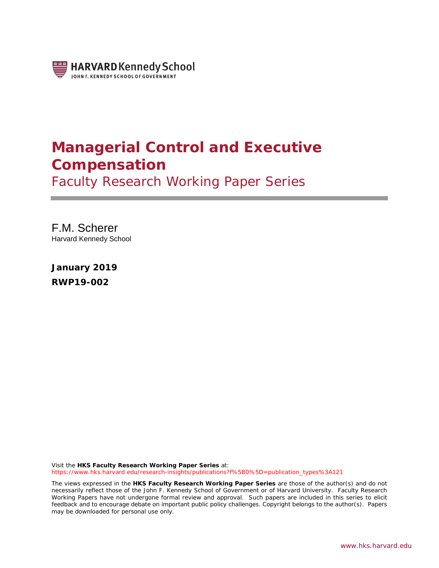

# **Managerial Control and Executive Compensation**

Faculty Research Working Paper Series

F.M. Scherer Harvard Kennedy School

**January 2019 RWP19-002**

Visit the **HKS Faculty Research Working Paper Series** at: [https://www.hks.harvard.edu/research-insights/publications?f%5B0%5D=publication\\_types%3A121](https://www.hks.harvard.edu/research-insights/publications?f%5B0%5D=publication_types%3A121)

The views expressed in the **HKS Faculty Research Working Paper Series** are those of the author(s) and do not necessarily reflect those of the John F. Kennedy School of Government or of Harvard University. Faculty Research Working Papers have not undergone formal review and approval. Such papers are included in this series to elicit feedback and to encourage debate on important public policy challenges. Copyright belongs to the author(s). Papers may be downloaded for personal use only.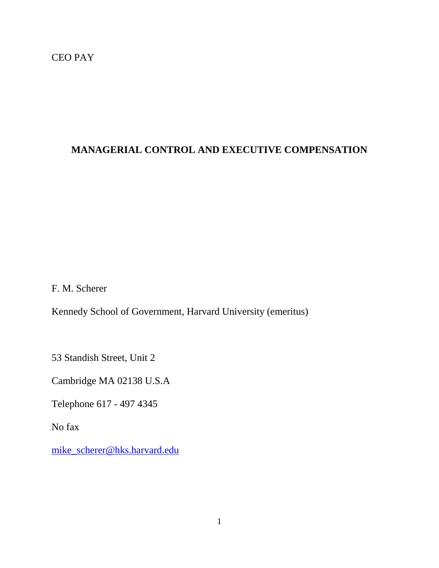# CEO PAY

# **MANAGERIAL CONTROL AND EXECUTIVE COMPENSATION**

F. M. Scherer

Kennedy School of Government, Harvard University (emeritus)

53 Standish Street, Unit 2

Cambridge MA 02138 U.S.A

Telephone 617 - 497 4345

No fax

[mike\\_scherer@hks.harvard.edu](mailto:mike_scherer@hks.harvard.edu)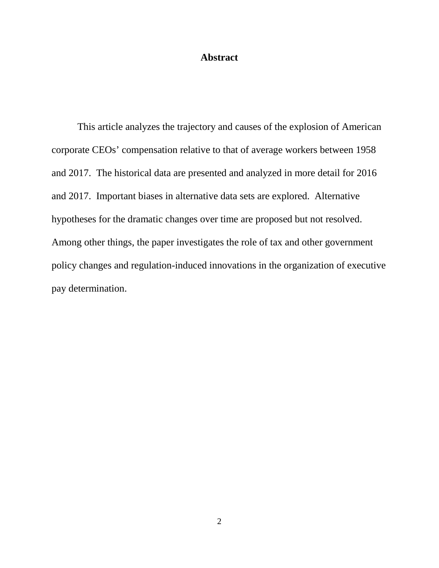## **Abstract**

This article analyzes the trajectory and causes of the explosion of American corporate CEOs' compensation relative to that of average workers between 1958 and 2017. The historical data are presented and analyzed in more detail for 2016 and 2017. Important biases in alternative data sets are explored. Alternative hypotheses for the dramatic changes over time are proposed but not resolved. Among other things, the paper investigates the role of tax and other government policy changes and regulation-induced innovations in the organization of executive pay determination.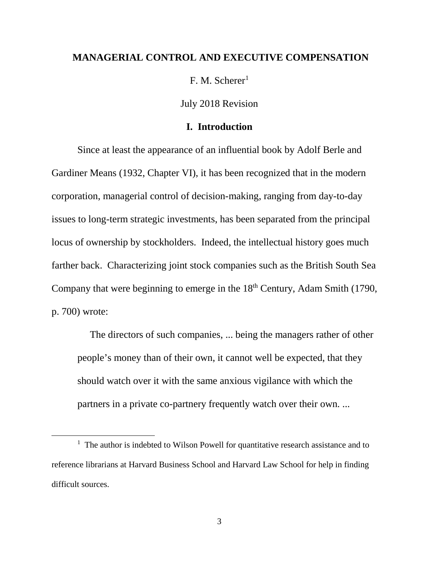#### **MANAGERIAL CONTROL AND EXECUTIVE COMPENSATION**

 $F. M. Scherer<sup>1</sup>$ 

July 2018 Revision

## **I. Introduction**

Since at least the appearance of an influential book by Adolf Berle and Gardiner Means (1932, Chapter VI), it has been recognized that in the modern corporation, managerial control of decision-making, ranging from day-to-day issues to long-term strategic investments, has been separated from the principal locus of ownership by stockholders. Indeed, the intellectual history goes much farther back. Characterizing joint stock companies such as the British South Sea Company that were beginning to emerge in the 18<sup>th</sup> Century, Adam Smith (1790, p. 700) wrote:

 The directors of such companies, ... being the managers rather of other people's money than of their own, it cannot well be expected, that they should watch over it with the same anxious vigilance with which the partners in a private co-partnery frequently watch over their own. ...

<span id="page-3-0"></span><sup>1&</sup>lt;sup>1</sup>  $1$  The author is indebted to Wilson Powell for quantitative research assistance and to reference librarians at Harvard Business School and Harvard Law School for help in finding difficult sources.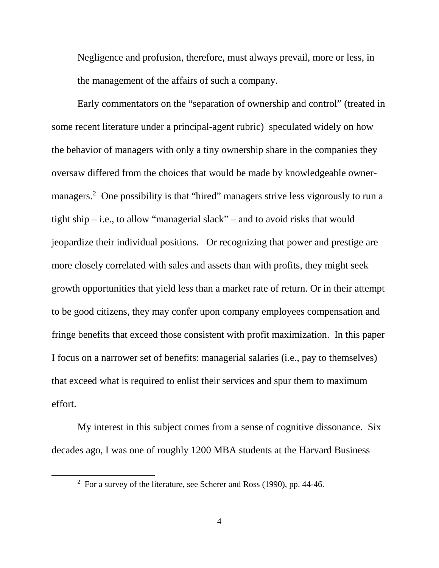Negligence and profusion, therefore, must always prevail, more or less, in the management of the affairs of such a company.

Early commentators on the "separation of ownership and control" (treated in some recent literature under a principal-agent rubric) speculated widely on how the behavior of managers with only a tiny ownership share in the companies they oversaw differed from the choices that would be made by knowledgeable owner-managers.<sup>[2](#page-4-0)</sup> One possibility is that "hired" managers strive less vigorously to run a tight ship – i.e., to allow "managerial slack" – and to avoid risks that would jeopardize their individual positions. Or recognizing that power and prestige are more closely correlated with sales and assets than with profits, they might seek growth opportunities that yield less than a market rate of return. Or in their attempt to be good citizens, they may confer upon company employees compensation and fringe benefits that exceed those consistent with profit maximization. In this paper I focus on a narrower set of benefits: managerial salaries (i.e., pay to themselves) that exceed what is required to enlist their services and spur them to maximum effort.

My interest in this subject comes from a sense of cognitive dissonance. Six decades ago, I was one of roughly 1200 MBA students at the Harvard Business

<span id="page-4-0"></span> $\overline{\phantom{a}}$  $\frac{2}{1}$  For a survey of the literature, see Scherer and Ross (1990), pp. 44-46.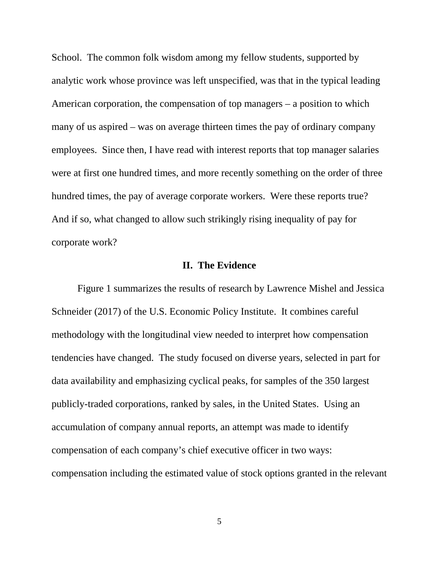School. The common folk wisdom among my fellow students, supported by analytic work whose province was left unspecified, was that in the typical leading American corporation, the compensation of top managers – a position to which many of us aspired – was on average thirteen times the pay of ordinary company employees. Since then, I have read with interest reports that top manager salaries were at first one hundred times, and more recently something on the order of three hundred times, the pay of average corporate workers. Were these reports true? And if so, what changed to allow such strikingly rising inequality of pay for corporate work?

#### **II. The Evidence**

Figure 1 summarizes the results of research by Lawrence Mishel and Jessica Schneider (2017) of the U.S. Economic Policy Institute. It combines careful methodology with the longitudinal view needed to interpret how compensation tendencies have changed. The study focused on diverse years, selected in part for data availability and emphasizing cyclical peaks, for samples of the 350 largest publicly-traded corporations, ranked by sales, in the United States. Using an accumulation of company annual reports, an attempt was made to identify compensation of each company's chief executive officer in two ways: compensation including the estimated value of stock options granted in the relevant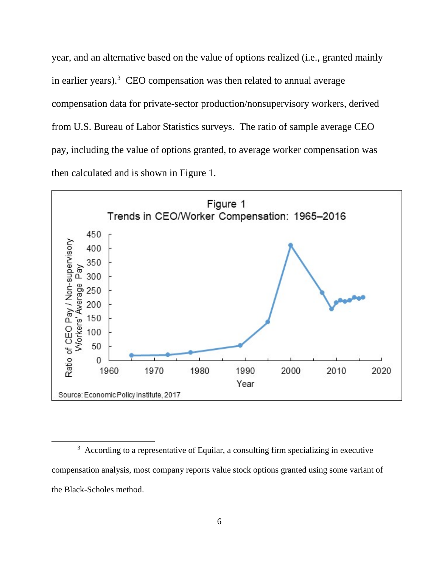year, and an alternative based on the value of options realized (i.e., granted mainly in earlier years). $3 \text{ CEO}$  $3 \text{ CEO}$  compensation was then related to annual average compensation data for private-sector production/nonsupervisory workers, derived from U.S. Bureau of Labor Statistics surveys. The ratio of sample average CEO pay, including the value of options granted, to average worker compensation was then calculated and is shown in Figure 1.



<span id="page-6-0"></span> $\frac{1}{3}$  $3\text{ }\Lambda$  According to a representative of Equilar, a consulting firm specializing in executive compensation analysis, most company reports value stock options granted using some variant of the Black-Scholes method.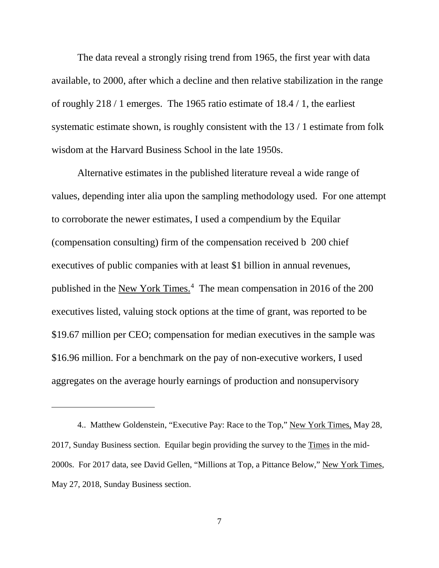The data reveal a strongly rising trend from 1965, the first year with data available, to 2000, after which a decline and then relative stabilization in the range of roughly 218 / 1 emerges. The 1965 ratio estimate of 18.4 / 1, the earliest systematic estimate shown, is roughly consistent with the 13 / 1 estimate from folk wisdom at the Harvard Business School in the late 1950s.

Alternative estimates in the published literature reveal a wide range of values, depending inter alia upon the sampling methodology used. For one attempt to corroborate the newer estimates, I used a compendium by the Equilar (compensation consulting) firm of the compensation received b 200 chief executives of public companies with at least \$1 billion in annual revenues, published in the New York Times.<sup>[4](#page-7-0)</sup> The mean compensation in 2016 of the 200 executives listed, valuing stock options at the time of grant, was reported to be \$19.67 million per CEO; compensation for median executives in the sample was \$16.96 million. For a benchmark on the pay of non-executive workers, I used aggregates on the average hourly earnings of production and nonsupervisory

 $\overline{a}$ 

<span id="page-7-0"></span><sup>4..</sup> Matthew Goldenstein, "Executive Pay: Race to the Top," New York Times, May 28, 2017, Sunday Business section. Equilar begin providing the survey to the Times in the mid-2000s. For 2017 data, see David Gellen, "Millions at Top, a Pittance Below," New York Times, May 27, 2018, Sunday Business section.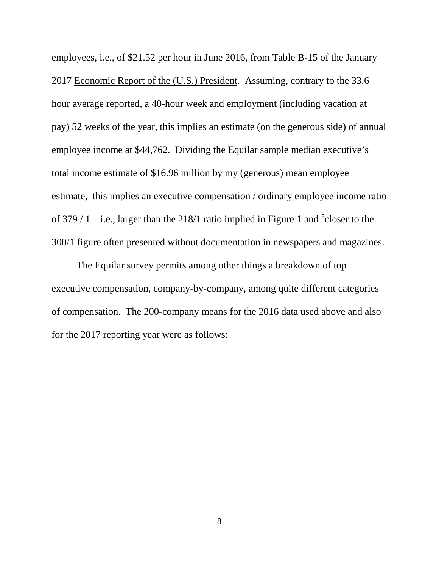employees, i.e., of \$21.52 per hour in June 2016, from Table B-15 of the January 2017 Economic Report of the (U.S.) President. Assuming, contrary to the 33.6 hour average reported, a 40-hour week and employment (including vacation at pay) 52 weeks of the year, this implies an estimate (on the generous side) of annual employee income at \$44,762. Dividing the Equilar sample median executive's total income estimate of \$16.96 million by my (generous) mean employee estimate, this implies an executive compensation / ordinary employee income ratio of 379  $/$  1 – i.e., larger than the 218 $/1$  ratio implied in Figure 1 and <sup>[5](#page-8-0)</sup> closer to the 300/1 figure often presented without documentation in newspapers and magazines.

 The Equilar survey permits among other things a breakdown of top executive compensation, company-by-company, among quite different categories of compensation. The 200-company means for the 2016 data used above and also for the 2017 reporting year were as follows:

<span id="page-8-0"></span> $\overline{a}$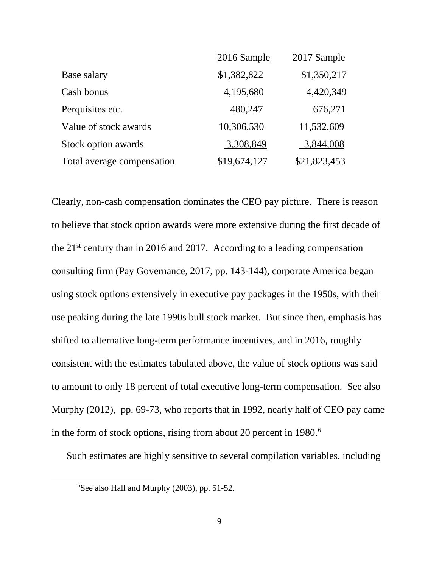|                            | 2016 Sample  | 2017 Sample  |
|----------------------------|--------------|--------------|
| Base salary                | \$1,382,822  | \$1,350,217  |
| Cash bonus                 | 4,195,680    | 4,420,349    |
| Perquisites etc.           | 480,247      | 676,271      |
| Value of stock awards      | 10,306,530   | 11,532,609   |
| Stock option awards        | 3,308,849    | 3,844,008    |
| Total average compensation | \$19,674,127 | \$21,823,453 |

Clearly, non-cash compensation dominates the CEO pay picture. There is reason to believe that stock option awards were more extensive during the first decade of the  $21^{st}$  century than in 2016 and 2017. According to a leading compensation consulting firm (Pay Governance, 2017, pp. 143-144), corporate America began using stock options extensively in executive pay packages in the 1950s, with their use peaking during the late 1990s bull stock market. But since then, emphasis has shifted to alternative long-term performance incentives, and in 2016, roughly consistent with the estimates tabulated above, the value of stock options was said to amount to only 18 percent of total executive long-term compensation. See also Murphy (2012), pp. 69-73, who reports that in 1992, nearly half of CEO pay came in the form of stock options, rising from about 20 percent in 1980.<sup>[6](#page-9-0)</sup>

Such estimates are highly sensitive to several compilation variables, including

<span id="page-9-0"></span> <sup>6</sup>  $6$ See also Hall and Murphy (2003), pp. 51-52.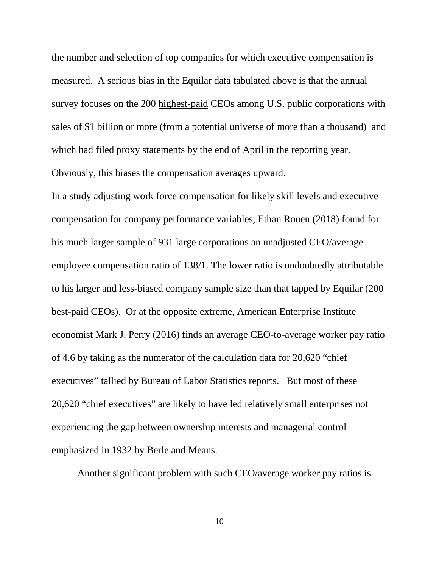the number and selection of top companies for which executive compensation is measured. A serious bias in the Equilar data tabulated above is that the annual survey focuses on the 200 highest-paid CEOs among U.S. public corporations with sales of \$1 billion or more (from a potential universe of more than a thousand) and which had filed proxy statements by the end of April in the reporting year. Obviously, this biases the compensation averages upward.

In a study adjusting work force compensation for likely skill levels and executive compensation for company performance variables, Ethan Rouen (2018) found for his much larger sample of 931 large corporations an unadjusted CEO/average employee compensation ratio of 138/1. The lower ratio is undoubtedly attributable to his larger and less-biased company sample size than that tapped by Equilar (200 best-paid CEOs). Or at the opposite extreme, American Enterprise Institute economist Mark J. Perry (2016) finds an average CEO-to-average worker pay ratio of 4.6 by taking as the numerator of the calculation data for 20,620 "chief executives" tallied by Bureau of Labor Statistics reports. But most of these 20,620 "chief executives" are likely to have led relatively small enterprises not experiencing the gap between ownership interests and managerial control emphasized in 1932 by Berle and Means.

Another significant problem with such CEO/average worker pay ratios is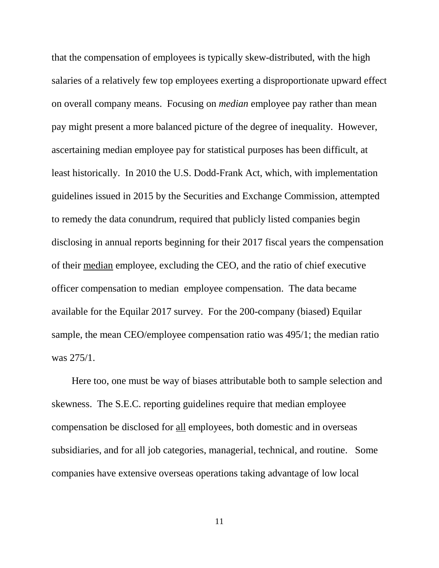that the compensation of employees is typically skew-distributed, with the high salaries of a relatively few top employees exerting a disproportionate upward effect on overall company means. Focusing on *median* employee pay rather than mean pay might present a more balanced picture of the degree of inequality. However, ascertaining median employee pay for statistical purposes has been difficult, at least historically. In 2010 the U.S. Dodd-Frank Act, which, with implementation guidelines issued in 2015 by the Securities and Exchange Commission, attempted to remedy the data conundrum, required that publicly listed companies begin disclosing in annual reports beginning for their 2017 fiscal years the compensation of their median employee, excluding the CEO, and the ratio of chief executive officer compensation to median employee compensation. The data became available for the Equilar 2017 survey. For the 200-company (biased) Equilar sample, the mean CEO/employee compensation ratio was 495/1; the median ratio was 275/1.

 Here too, one must be way of biases attributable both to sample selection and skewness. The S.E.C. reporting guidelines require that median employee compensation be disclosed for all employees, both domestic and in overseas subsidiaries, and for all job categories, managerial, technical, and routine. Some companies have extensive overseas operations taking advantage of low local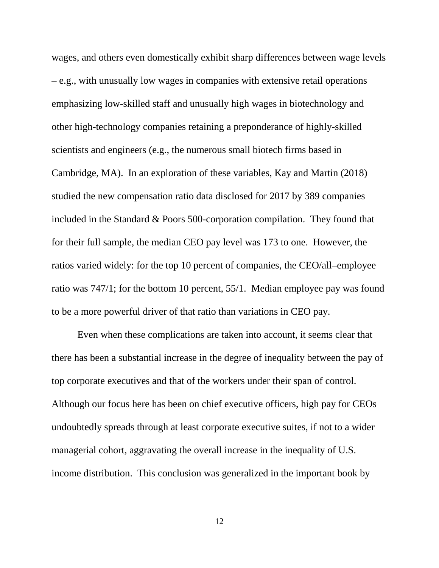wages, and others even domestically exhibit sharp differences between wage levels – e.g., with unusually low wages in companies with extensive retail operations emphasizing low-skilled staff and unusually high wages in biotechnology and other high-technology companies retaining a preponderance of highly-skilled scientists and engineers (e.g., the numerous small biotech firms based in Cambridge, MA). In an exploration of these variables, Kay and Martin (2018) studied the new compensation ratio data disclosed for 2017 by 389 companies included in the Standard & Poors 500-corporation compilation. They found that for their full sample, the median CEO pay level was 173 to one. However, the ratios varied widely: for the top 10 percent of companies, the CEO/all–employee ratio was 747/1; for the bottom 10 percent, 55/1. Median employee pay was found to be a more powerful driver of that ratio than variations in CEO pay.

Even when these complications are taken into account, it seems clear that there has been a substantial increase in the degree of inequality between the pay of top corporate executives and that of the workers under their span of control. Although our focus here has been on chief executive officers, high pay for CEOs undoubtedly spreads through at least corporate executive suites, if not to a wider managerial cohort, aggravating the overall increase in the inequality of U.S. income distribution. This conclusion was generalized in the important book by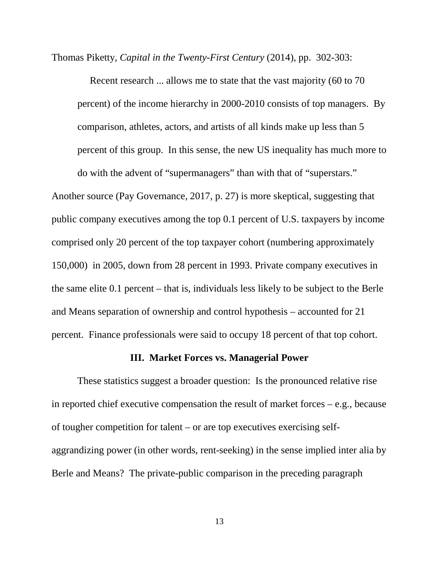Thomas Piketty, *Capital in the Twenty-First Century* (2014), pp. 302-303:

 Recent research ... allows me to state that the vast majority (60 to 70 percent) of the income hierarchy in 2000-2010 consists of top managers. By comparison, athletes, actors, and artists of all kinds make up less than 5 percent of this group. In this sense, the new US inequality has much more to do with the advent of "supermanagers" than with that of "superstars."

Another source (Pay Governance, 2017, p. 27) is more skeptical, suggesting that public company executives among the top 0.1 percent of U.S. taxpayers by income comprised only 20 percent of the top taxpayer cohort (numbering approximately 150,000) in 2005, down from 28 percent in 1993. Private company executives in the same elite 0.1 percent – that is, individuals less likely to be subject to the Berle and Means separation of ownership and control hypothesis – accounted for 21 percent. Finance professionals were said to occupy 18 percent of that top cohort.

## **III. Market Forces vs. Managerial Power**

These statistics suggest a broader question: Is the pronounced relative rise in reported chief executive compensation the result of market forces – e.g., because of tougher competition for talent – or are top executives exercising selfaggrandizing power (in other words, rent-seeking) in the sense implied inter alia by Berle and Means? The private-public comparison in the preceding paragraph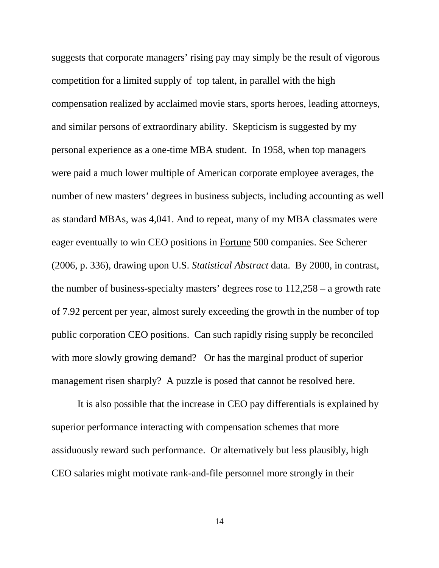suggests that corporate managers' rising pay may simply be the result of vigorous competition for a limited supply of top talent, in parallel with the high compensation realized by acclaimed movie stars, sports heroes, leading attorneys, and similar persons of extraordinary ability. Skepticism is suggested by my personal experience as a one-time MBA student. In 1958, when top managers were paid a much lower multiple of American corporate employee averages, the number of new masters' degrees in business subjects, including accounting as well as standard MBAs, was 4,041. And to repeat, many of my MBA classmates were eager eventually to win CEO positions in Fortune 500 companies. See Scherer (2006, p. 336), drawing upon U.S. *Statistical Abstract* data. By 2000, in contrast, the number of business-specialty masters' degrees rose to 112,258 – a growth rate of 7.92 percent per year, almost surely exceeding the growth in the number of top public corporation CEO positions. Can such rapidly rising supply be reconciled with more slowly growing demand? Or has the marginal product of superior management risen sharply? A puzzle is posed that cannot be resolved here.

It is also possible that the increase in CEO pay differentials is explained by superior performance interacting with compensation schemes that more assiduously reward such performance. Or alternatively but less plausibly, high CEO salaries might motivate rank-and-file personnel more strongly in their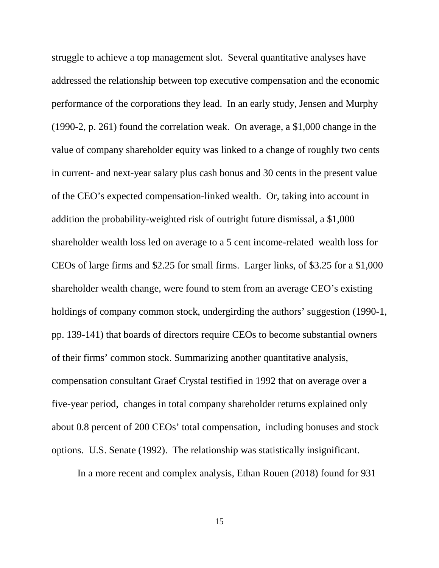struggle to achieve a top management slot. Several quantitative analyses have addressed the relationship between top executive compensation and the economic performance of the corporations they lead. In an early study, Jensen and Murphy (1990-2, p. 261) found the correlation weak. On average, a \$1,000 change in the value of company shareholder equity was linked to a change of roughly two cents in current- and next-year salary plus cash bonus and 30 cents in the present value of the CEO's expected compensation-linked wealth. Or, taking into account in addition the probability-weighted risk of outright future dismissal, a \$1,000 shareholder wealth loss led on average to a 5 cent income-related wealth loss for CEOs of large firms and \$2.25 for small firms. Larger links, of \$3.25 for a \$1,000 shareholder wealth change, were found to stem from an average CEO's existing holdings of company common stock, undergirding the authors' suggestion (1990-1, pp. 139-141) that boards of directors require CEOs to become substantial owners of their firms' common stock. Summarizing another quantitative analysis, compensation consultant Graef Crystal testified in 1992 that on average over a five-year period, changes in total company shareholder returns explained only about 0.8 percent of 200 CEOs' total compensation, including bonuses and stock options. U.S. Senate (1992). The relationship was statistically insignificant.

In a more recent and complex analysis, Ethan Rouen (2018) found for 931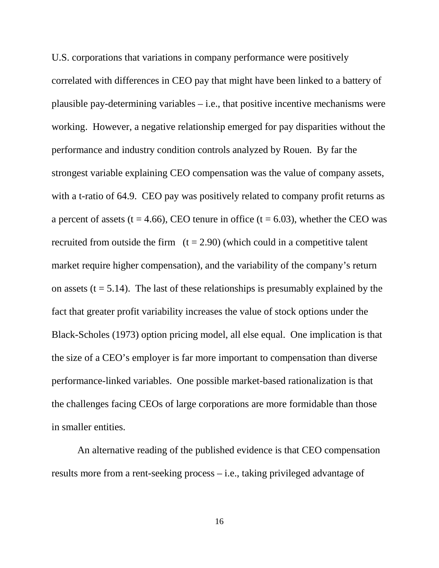U.S. corporations that variations in company performance were positively correlated with differences in CEO pay that might have been linked to a battery of plausible pay-determining variables – i.e., that positive incentive mechanisms were working. However, a negative relationship emerged for pay disparities without the performance and industry condition controls analyzed by Rouen. By far the strongest variable explaining CEO compensation was the value of company assets, with a t-ratio of 64.9. CEO pay was positively related to company profit returns as a percent of assets ( $t = 4.66$ ), CEO tenure in office ( $t = 6.03$ ), whether the CEO was recruited from outside the firm  $(t = 2.90)$  (which could in a competitive talent market require higher compensation), and the variability of the company's return on assets ( $t = 5.14$ ). The last of these relationships is presumably explained by the fact that greater profit variability increases the value of stock options under the Black-Scholes (1973) option pricing model, all else equal. One implication is that the size of a CEO's employer is far more important to compensation than diverse performance-linked variables. One possible market-based rationalization is that the challenges facing CEOs of large corporations are more formidable than those in smaller entities.

An alternative reading of the published evidence is that CEO compensation results more from a rent-seeking process – i.e., taking privileged advantage of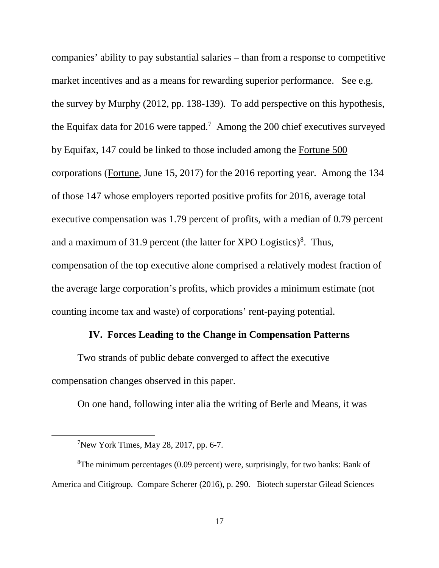companies' ability to pay substantial salaries – than from a response to competitive market incentives and as a means for rewarding superior performance. See e.g. the survey by Murphy (2012, pp. 138-139). To add perspective on this hypothesis, the Equifax data for 2016 were tapped.<sup>[7](#page-17-0)</sup> Among the 200 chief executives surveyed by Equifax, 147 could be linked to those included among the Fortune 500 corporations (Fortune, June 15, 2017) for the 2016 reporting year. Among the 134 of those 147 whose employers reported positive profits for 2016, average total executive compensation was 1.79 percent of profits, with a median of 0.79 percent and a maximum of 31.9 percent (the latter for XPO Logistics)<sup>[8](#page-17-1)</sup>. Thus, compensation of the top executive alone comprised a relatively modest fraction of the average large corporation's profits, which provides a minimum estimate (not counting income tax and waste) of corporations' rent-paying potential.

#### **IV. Forces Leading to the Change in Compensation Patterns**

Two strands of public debate converged to affect the executive compensation changes observed in this paper.

On one hand, following inter alia the writing of Berle and Means, it was

<span id="page-17-0"></span> <sup>7</sup>  $7$ New York Times, May 28, 2017, pp. 6-7.

<span id="page-17-1"></span><sup>&</sup>lt;sup>8</sup>The minimum percentages (0.09 percent) were, surprisingly, for two banks: Bank of America and Citigroup. Compare Scherer (2016), p. 290. Biotech superstar Gilead Sciences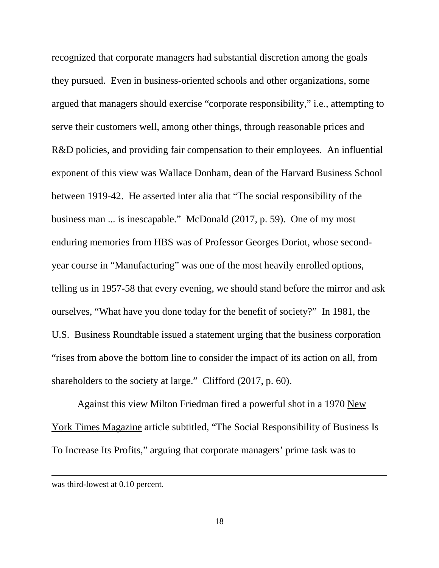recognized that corporate managers had substantial discretion among the goals they pursued. Even in business-oriented schools and other organizations, some argued that managers should exercise "corporate responsibility," i.e., attempting to serve their customers well, among other things, through reasonable prices and R&D policies, and providing fair compensation to their employees. An influential exponent of this view was Wallace Donham, dean of the Harvard Business School between 1919-42. He asserted inter alia that "The social responsibility of the business man ... is inescapable." McDonald (2017, p. 59). One of my most enduring memories from HBS was of Professor Georges Doriot, whose secondyear course in "Manufacturing" was one of the most heavily enrolled options, telling us in 1957-58 that every evening, we should stand before the mirror and ask ourselves, "What have you done today for the benefit of society?" In 1981, the U.S. Business Roundtable issued a statement urging that the business corporation "rises from above the bottom line to consider the impact of its action on all, from shareholders to the society at large." Clifford (2017, p. 60).

Against this view Milton Friedman fired a powerful shot in a 1970 New York Times Magazine article subtitled, "The Social Responsibility of Business Is To Increase Its Profits," arguing that corporate managers' prime task was to

 $\overline{a}$ 

was third-lowest at 0.10 percent.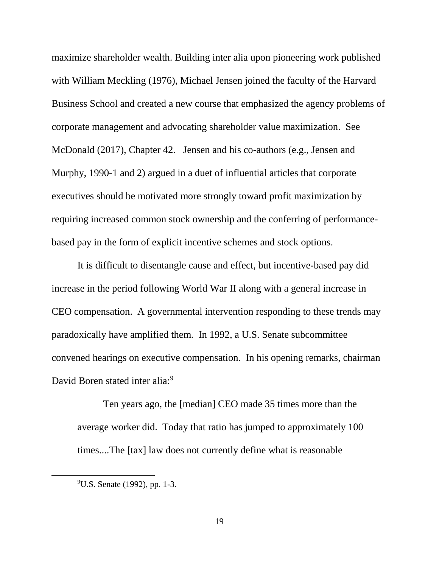maximize shareholder wealth. Building inter alia upon pioneering work published with William Meckling (1976), Michael Jensen joined the faculty of the Harvard Business School and created a new course that emphasized the agency problems of corporate management and advocating shareholder value maximization. See McDonald (2017), Chapter 42. Jensen and his co-authors (e.g., Jensen and Murphy, 1990-1 and 2) argued in a duet of influential articles that corporate executives should be motivated more strongly toward profit maximization by requiring increased common stock ownership and the conferring of performancebased pay in the form of explicit incentive schemes and stock options.

It is difficult to disentangle cause and effect, but incentive-based pay did increase in the period following World War II along with a general increase in CEO compensation. A governmental intervention responding to these trends may paradoxically have amplified them. In 1992, a U.S. Senate subcommittee convened hearings on executive compensation. In his opening remarks, chairman David Boren stated inter alia:<sup>[9](#page-19-0)</sup>

Ten years ago, the [median] CEO made 35 times more than the average worker did. Today that ratio has jumped to approximately 100 times....The [tax] law does not currently define what is reasonable

<span id="page-19-0"></span> <sup>9</sup>  $^{9}$ U.S. Senate (1992), pp. 1-3.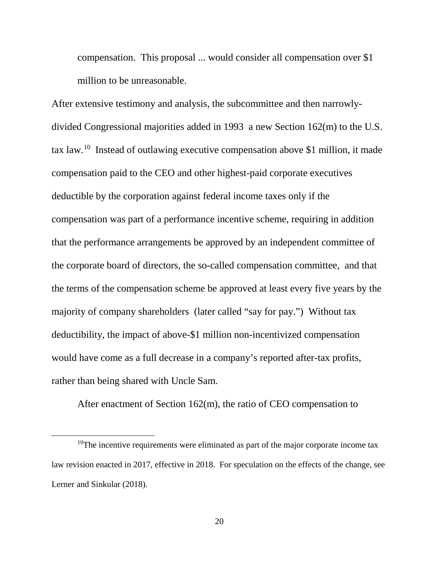compensation. This proposal ... would consider all compensation over \$1 million to be unreasonable.

After extensive testimony and analysis, the subcommittee and then narrowlydivided Congressional majorities added in 1993 a new Section 162(m) to the U.S. tax law.[10](#page-20-0) Instead of outlawing executive compensation above \$1 million, it made compensation paid to the CEO and other highest-paid corporate executives deductible by the corporation against federal income taxes only if the compensation was part of a performance incentive scheme, requiring in addition that the performance arrangements be approved by an independent committee of the corporate board of directors, the so-called compensation committee, and that the terms of the compensation scheme be approved at least every five years by the majority of company shareholders (later called "say for pay.") Without tax deductibility, the impact of above-\$1 million non-incentivized compensation would have come as a full decrease in a company's reported after-tax profits, rather than being shared with Uncle Sam.

After enactment of Section 162(m), the ratio of CEO compensation to

<span id="page-20-0"></span> $10$ The incentive requirements were eliminated as part of the major corporate income tax law revision enacted in 2017, effective in 2018. For speculation on the effects of the change, see Lerner and Sinkular (2018).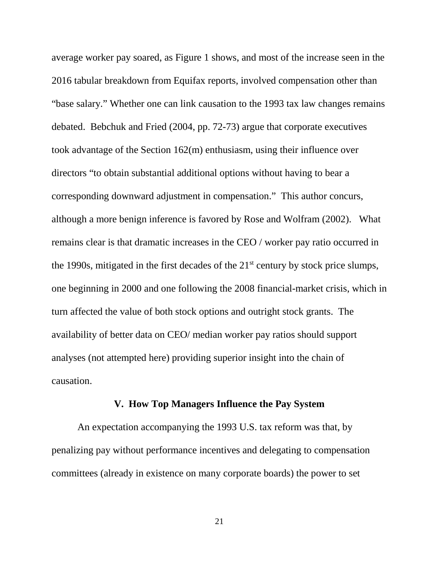average worker pay soared, as Figure 1 shows, and most of the increase seen in the 2016 tabular breakdown from Equifax reports, involved compensation other than "base salary." Whether one can link causation to the 1993 tax law changes remains debated. Bebchuk and Fried (2004, pp. 72-73) argue that corporate executives took advantage of the Section 162(m) enthusiasm, using their influence over directors "to obtain substantial additional options without having to bear a corresponding downward adjustment in compensation." This author concurs, although a more benign inference is favored by Rose and Wolfram (2002). What remains clear is that dramatic increases in the CEO / worker pay ratio occurred in the 1990s, mitigated in the first decades of the  $21<sup>st</sup>$  century by stock price slumps, one beginning in 2000 and one following the 2008 financial-market crisis, which in turn affected the value of both stock options and outright stock grants. The availability of better data on CEO/ median worker pay ratios should support analyses (not attempted here) providing superior insight into the chain of causation.

## **V. How Top Managers Influence the Pay System**

An expectation accompanying the 1993 U.S. tax reform was that, by penalizing pay without performance incentives and delegating to compensation committees (already in existence on many corporate boards) the power to set

21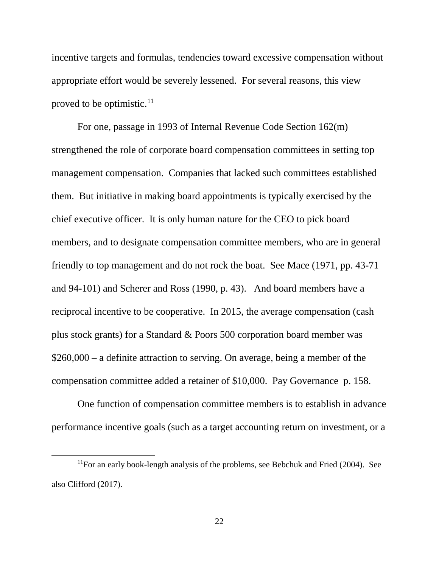incentive targets and formulas, tendencies toward excessive compensation without appropriate effort would be severely lessened. For several reasons, this view proved to be optimistic. $^{11}$  $^{11}$  $^{11}$ 

For one, passage in 1993 of Internal Revenue Code Section 162(m) strengthened the role of corporate board compensation committees in setting top management compensation. Companies that lacked such committees established them. But initiative in making board appointments is typically exercised by the chief executive officer. It is only human nature for the CEO to pick board members, and to designate compensation committee members, who are in general friendly to top management and do not rock the boat. See Mace (1971, pp. 43-71 and 94-101) and Scherer and Ross (1990, p. 43). And board members have a reciprocal incentive to be cooperative. In 2015, the average compensation (cash plus stock grants) for a Standard & Poors 500 corporation board member was \$260,000 – a definite attraction to serving. On average, being a member of the compensation committee added a retainer of \$10,000. Pay Governance p. 158.

One function of compensation committee members is to establish in advance performance incentive goals (such as a target accounting return on investment, or a

<span id="page-22-0"></span> $11$ For an early book-length analysis of the problems, see Bebchuk and Fried (2004). See also Clifford (2017).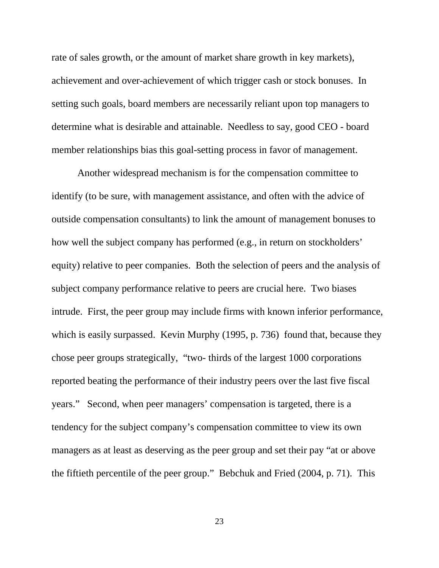rate of sales growth, or the amount of market share growth in key markets), achievement and over-achievement of which trigger cash or stock bonuses. In setting such goals, board members are necessarily reliant upon top managers to determine what is desirable and attainable. Needless to say, good CEO - board member relationships bias this goal-setting process in favor of management.

Another widespread mechanism is for the compensation committee to identify (to be sure, with management assistance, and often with the advice of outside compensation consultants) to link the amount of management bonuses to how well the subject company has performed (e.g., in return on stockholders' equity) relative to peer companies. Both the selection of peers and the analysis of subject company performance relative to peers are crucial here. Two biases intrude. First, the peer group may include firms with known inferior performance, which is easily surpassed. Kevin Murphy (1995, p. 736) found that, because they chose peer groups strategically, "two- thirds of the largest 1000 corporations reported beating the performance of their industry peers over the last five fiscal years." Second, when peer managers' compensation is targeted, there is a tendency for the subject company's compensation committee to view its own managers as at least as deserving as the peer group and set their pay "at or above the fiftieth percentile of the peer group." Bebchuk and Fried (2004, p. 71). This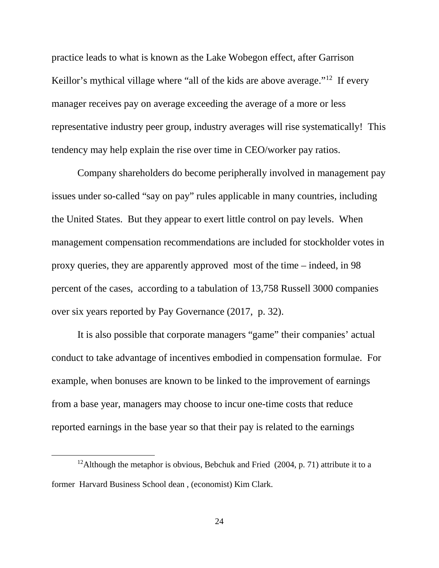practice leads to what is known as the Lake Wobegon effect, after Garrison Keillor's mythical village where "all of the kids are above average."<sup>12</sup> If every manager receives pay on average exceeding the average of a more or less representative industry peer group, industry averages will rise systematically! This tendency may help explain the rise over time in CEO/worker pay ratios.

Company shareholders do become peripherally involved in management pay issues under so-called "say on pay" rules applicable in many countries, including the United States. But they appear to exert little control on pay levels. When management compensation recommendations are included for stockholder votes in proxy queries, they are apparently approved most of the time – indeed, in 98 percent of the cases, according to a tabulation of 13,758 Russell 3000 companies over six years reported by Pay Governance (2017, p. 32).

It is also possible that corporate managers "game" their companies' actual conduct to take advantage of incentives embodied in compensation formulae. For example, when bonuses are known to be linked to the improvement of earnings from a base year, managers may choose to incur one-time costs that reduce reported earnings in the base year so that their pay is related to the earnings

<span id="page-24-0"></span><sup>&</sup>lt;sup>12</sup>Although the metaphor is obvious, Bebchuk and Fried  $(2004, p. 71)$  attribute it to a former Harvard Business School dean , (economist) Kim Clark.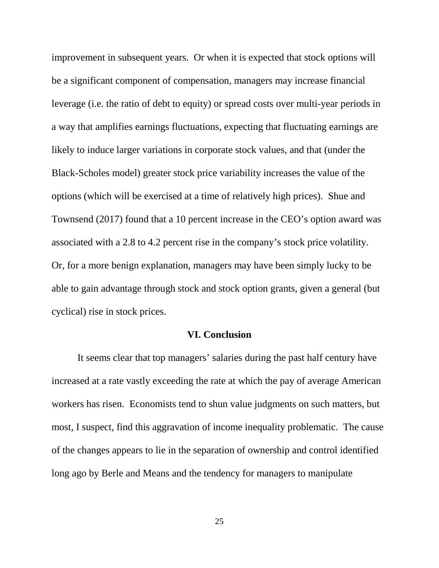improvement in subsequent years. Or when it is expected that stock options will be a significant component of compensation, managers may increase financial leverage (i.e. the ratio of debt to equity) or spread costs over multi-year periods in a way that amplifies earnings fluctuations, expecting that fluctuating earnings are likely to induce larger variations in corporate stock values, and that (under the Black-Scholes model) greater stock price variability increases the value of the options (which will be exercised at a time of relatively high prices). Shue and Townsend (2017) found that a 10 percent increase in the CEO's option award was associated with a 2.8 to 4.2 percent rise in the company's stock price volatility. Or, for a more benign explanation, managers may have been simply lucky to be able to gain advantage through stock and stock option grants, given a general (but cyclical) rise in stock prices.

#### **VI. Conclusion**

It seems clear that top managers' salaries during the past half century have increased at a rate vastly exceeding the rate at which the pay of average American workers has risen. Economists tend to shun value judgments on such matters, but most, I suspect, find this aggravation of income inequality problematic. The cause of the changes appears to lie in the separation of ownership and control identified long ago by Berle and Means and the tendency for managers to manipulate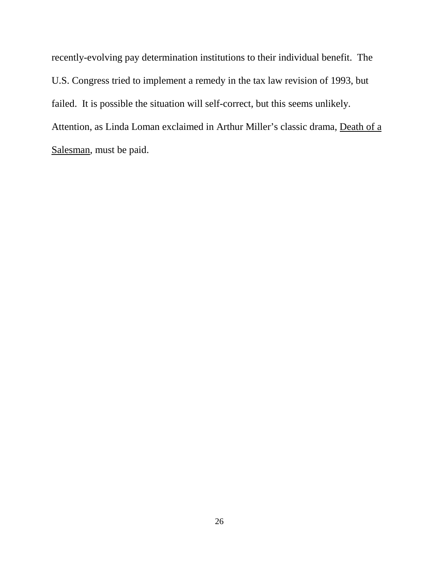recently-evolving pay determination institutions to their individual benefit. The U.S. Congress tried to implement a remedy in the tax law revision of 1993, but failed. It is possible the situation will self-correct, but this seems unlikely. Attention, as Linda Loman exclaimed in Arthur Miller's classic drama, Death of a Salesman, must be paid.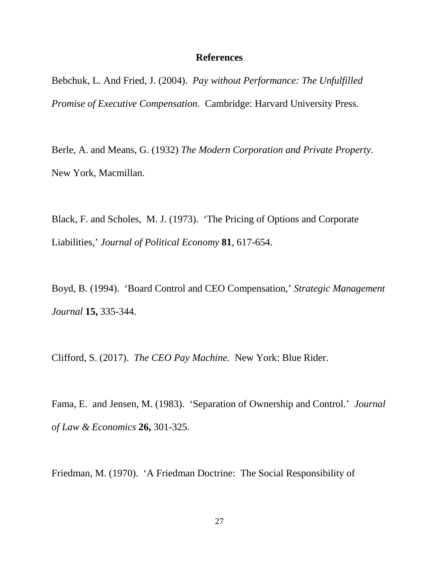#### **References**

Bebchuk, L. And Fried, J. (2004). *Pay without Performance: The Unfulfilled Promise of Executive Compensation.* Cambridge: Harvard University Press.

Berle, A. and Means, G. (1932) *The Modern Corporation and Private Property.*  New York, Macmillan.

Black, F. and Scholes, M. J. (1973). 'The Pricing of Options and Corporate Liabilities,' *Journal of Political Economy* **81**, 617-654.

Boyd, B. (1994). 'Board Control and CEO Compensation,' *Strategic Management Journal* **15,** 335-344.

Clifford, S. (2017). *The CEO Pay Machine.* New York: Blue Rider.

Fama, E. and Jensen, M. (1983). 'Separation of Ownership and Control.' *Journal of Law & Economics* **26,** 301-325.

Friedman, M. (1970). 'A Friedman Doctrine: The Social Responsibility of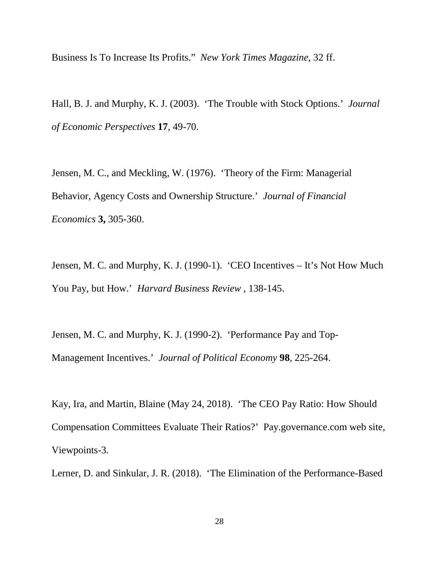Business Is To Increase Its Profits." *New York Times Magazine,* 32 ff.

Hall, B. J. and Murphy, K. J. (2003). 'The Trouble with Stock Options.' *Journal of Economic Perspectives* **17**, 49-70.

Jensen, M. C., and Meckling, W. (1976). 'Theory of the Firm: Managerial Behavior, Agency Costs and Ownership Structure.' *Journal of Financial Economics* **3,** 305-360.

Jensen, M. C. and Murphy, K. J. (1990-1). 'CEO Incentives – It's Not How Much You Pay, but How.' *Harvard Business Review* , 138-145.

Jensen, M. C. and Murphy, K. J. (1990-2). 'Performance Pay and Top-Management Incentives.' *Journal of Political Economy* **98**, 225-264.

Kay, Ira, and Martin, Blaine (May 24, 2018). 'The CEO Pay Ratio: How Should Compensation Committees Evaluate Their Ratios?' Pay.governance.com web site, Viewpoints-3.

Lerner, D. and Sinkular, J. R. (2018). 'The Elimination of the Performance-Based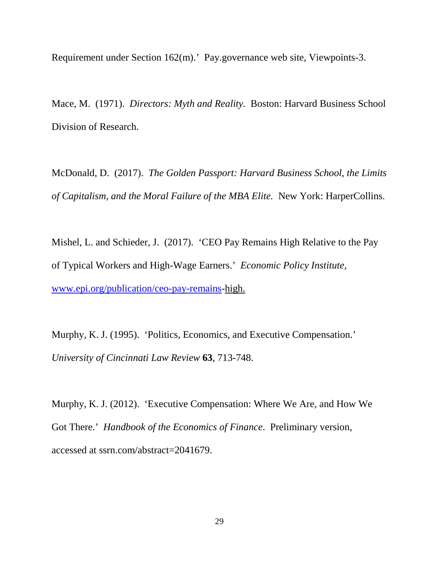Requirement under Section 162(m).' Pay.governance web site, Viewpoints-3.

Mace, M. (1971). *Directors: Myth and Reality.* Boston: Harvard Business School Division of Research.

McDonald, D. (2017). *The Golden Passport: Harvard Business School, the Limits of Capitalism, and the Moral Failure of the MBA Elite.* New York: HarperCollins.

Mishel, L. and Schieder, J. (2017). 'CEO Pay Remains High Relative to the Pay of Typical Workers and High-Wage Earners.' *Economic Policy Institute*, [www.epi.org/publication/ceo-pay-remains-](http://www.epi.org/publication/ceo-pay-remains)high.

Murphy, K. J. (1995). 'Politics, Economics, and Executive Compensation.' *University of Cincinnati Law Review* **63**, 713-748.

Murphy, K. J. (2012). 'Executive Compensation: Where We Are, and How We Got There.' *Handbook of the Economics of Finance*. Preliminary version, accessed at ssrn.com/abstract=2041679.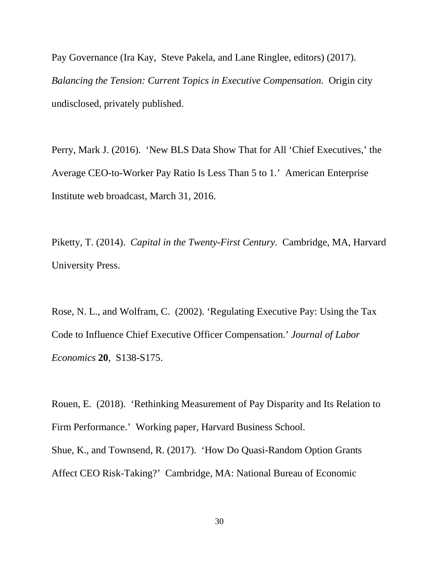Pay Governance (Ira Kay, Steve Pakela, and Lane Ringlee, editors) (2017). *Balancing the Tension: Current Topics in Executive Compensation.* Origin city undisclosed, privately published.

Perry, Mark J. (2016). 'New BLS Data Show That for All 'Chief Executives,' the Average CEO-to-Worker Pay Ratio Is Less Than 5 to 1.' American Enterprise Institute web broadcast, March 31, 2016.

Piketty, T. (2014). *Capital in the Twenty-First Century.* Cambridge, MA, Harvard University Press.

Rose, N. L., and Wolfram, C. (2002). 'Regulating Executive Pay: Using the Tax Code to Influence Chief Executive Officer Compensation.' *Journal of Labor Economics* **20**, S138-S175.

Rouen, E. (2018). 'Rethinking Measurement of Pay Disparity and Its Relation to Firm Performance.' Working paper, Harvard Business School. Shue, K., and Townsend, R. (2017). 'How Do Quasi-Random Option Grants Affect CEO Risk-Taking?' Cambridge, MA: National Bureau of Economic